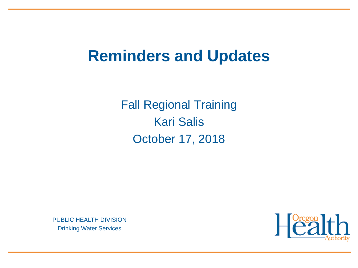### **Reminders and Updates**

Fall Regional Training Kari Salis October 17, 2018

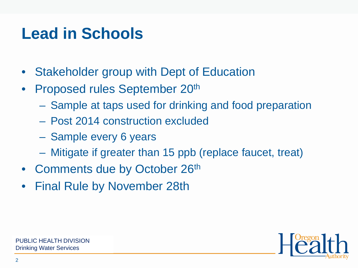## **Lead in Schools**

- Stakeholder group with Dept of Education
- Proposed rules September 20th
	- Sample at taps used for drinking and food preparation
	- Post 2014 construction excluded
	- Sample every 6 years
	- Mitigate if greater than 15 ppb (replace faucet, treat)
- Comments due by October 26th
- Final Rule by November 28th

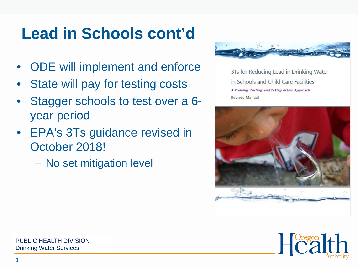# **Lead in Schools cont'd**

- ODE will implement and enforce
- State will pay for testing costs
- Stagger schools to test over a 6 year period
- EPA's 3Ts guidance revised in October 2018!

– No set mitigation level



3Ts for Reducing Lead in Drinking Water in Schools and Child Care Facilities A Training, Testing, and Taking Action Approach **Revised Manual** 



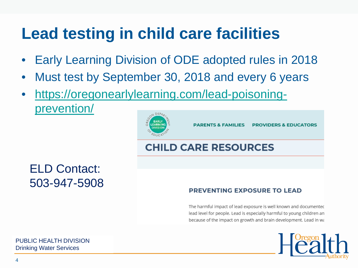## **Lead testing in child care facilities**

- Early Learning Division of ODE adopted rules in 2018
- Must test by September 30, 2018 and every 6 years
- [https://oregonearlylearning.com/lead-poisoning](https://oregonearlylearning.com/lead-poisoning-prevention/)prevention/



ELD Contact: 503-947-5908

#### **PREVENTING EXPOSURE TO LEAD**

The harmful impact of lead exposure is well known and documented lead level for people. Lead is especially harmful to young children an because of the impact on growth and brain development. Lead in wa

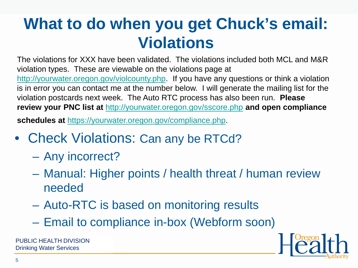## **What to do when you get Chuck's email: Violations**

The violations for XXX have been validated. The violations included both MCL and M&R violation types. These are viewable on the violations page at [http://yourwater.oregon.gov/violcounty.php](https://yourwater.oregon.gov/violcounty.php). If you have any questions or think a violation is in error you can contact me at the number below. I will generate the mailing list for the violation postcards next week. The Auto RTC process has also been run. **Please review your PNC list at** [http://yourwater.oregon.gov/sscore.php](https://yourwater.oregon.gov/sscore.php) **and open compliance** 

**schedules at** [https://yourwater.oregon.gov/compliance.php.](https://yourwater.oregon.gov/compliance.php)

- Check Violations: Can any be RTCd?
	- Any incorrect?
	- Manual: Higher points / health threat / human review needed
	- Auto-RTC is based on monitoring results
	- Email to compliance in-box (Webform soon)

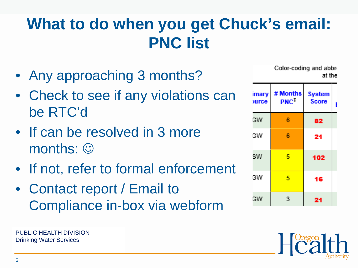## **What to do when you get Chuck's email: PNC list**

- Any approaching 3 months?
- Check to see if any violations can be RTC'd
- If can be resolved in 3 more  $months: \odot$
- If not, refer to formal enforcement
- Contact report / Email to Compliance in-box via webform

Drinking Water Services PUBLIC HEALTH DIVISION

Color-coding and abbre at thel

| imary<br>ource | # Months<br>$PNC^{\ddagger}$ | <b>System</b><br><b>Score</b> |  |
|----------------|------------------------------|-------------------------------|--|
| GW             | 6                            | 82                            |  |
| GW             | 6                            | 21                            |  |
| SW             | 5                            | 102                           |  |
| GW             | 5                            | 16                            |  |
| GW             | З                            | 21                            |  |

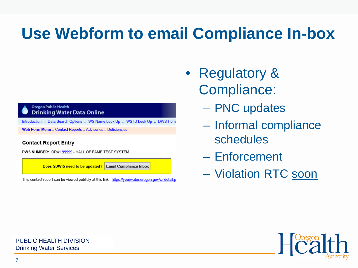## **Use Webform to email Compliance In-box**

#### **Oregon Public Health Drinking Water Data Online**

Introduction :: Data Search Options :: WS Name Look Up :: WS ID Look Up :: DWS Home

Web Form Menu :: Contact Reports :: Advisories :: Deficiencies

#### **Contact Report Entry**

PWS NUMBER: OR41 99999 - HALL OF FAME TEST SYSTEM

Does SDWIS need to be updated? Email Compliance Inbox

This contact report can be viewed publicly at this link: https://yourwater.oregon.gov/cr-detail.p

- Regulatory & Compliance:
	- PNC updates
	- Informal compliance schedules
	- Enforcement
	- Violation RTC soon

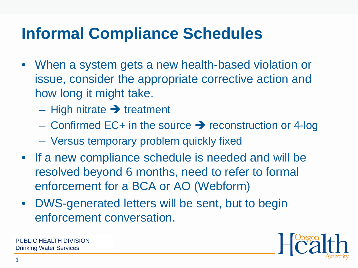## **Informal Compliance Schedules**

- When a system gets a new health-based violation or issue, consider the appropriate corrective action and how long it might take.
	- High nitrate  $\rightarrow$  treatment
	- Confirmed EC+ in the source  $\rightarrow$  reconstruction or 4-log
	- Versus temporary problem quickly fixed
- If a new compliance schedule is needed and will be resolved beyond 6 months, need to refer to formal enforcement for a BCA or AO (Webform)
- DWS-generated letters will be sent, but to begin enforcement conversation.

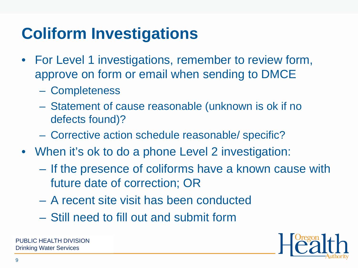# **Coliform Investigations**

- For Level 1 investigations, remember to review form, approve on form or email when sending to DMCE
	- Completeness
	- Statement of cause reasonable (unknown is ok if no defects found)?
	- Corrective action schedule reasonable/ specific?
- When it's ok to do a phone Level 2 investigation:
	- If the presence of coliforms have a known cause with future date of correction; OR
	- A recent site visit has been conducted
	- Still need to fill out and submit form

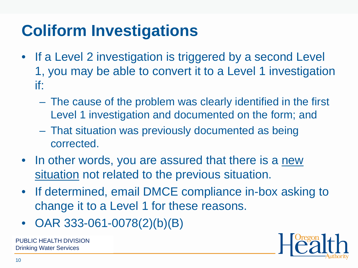# **Coliform Investigations**

- If a Level 2 investigation is triggered by a second Level 1, you may be able to convert it to a Level 1 investigation if:
	- The cause of the problem was clearly identified in the first Level 1 investigation and documented on the form; and
	- That situation was previously documented as being corrected.
- In other words, you are assured that there is a new situation not related to the previous situation.
- If determined, email DMCE compliance in-box asking to change it to a Level 1 for these reasons.
- OAR 333-061-0078(2)(b)(B)

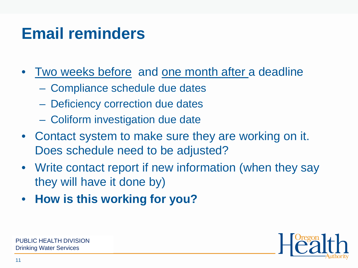## **Email reminders**

- Two weeks before and one month after a deadline
	- Compliance schedule due dates
	- Deficiency correction due dates
	- Coliform investigation due date
- Contact system to make sure they are working on it. Does schedule need to be adjusted?
- Write contact report if new information (when they say they will have it done by)
- **How is this working for you?**

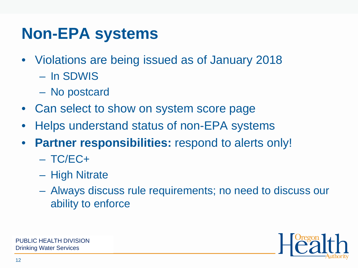## **Non-EPA systems**

- Violations are being issued as of January 2018
	- In SDWIS
	- No postcard
- Can select to show on system score page
- Helps understand status of non-EPA systems
- **Partner responsibilities:** respond to alerts only!
	- $-$  TC/EC+
	- High Nitrate
	- Always discuss rule requirements; no need to discuss our ability to enforce

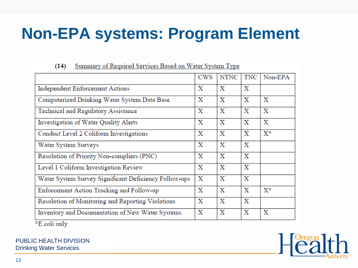## **Non-EPA systems: Program Element**

#### $(14)$ Summary of Required Services Based on Water System Type

|                                                       | <b>CWS</b> | <b>NTNC</b> | <b>TNC</b>  | Non-EPA        |
|-------------------------------------------------------|------------|-------------|-------------|----------------|
| Independent Enforcement Actions                       |            | Х           | Х           |                |
| Computerized Drinking Water System Data Base          | х          | X           | X           | х              |
| Technical and Regulatory Assistance                   | Х          | х           | X           | х              |
| Investigation of Water Quality Alerts                 |            | Х           | Х           | X              |
| Conduct Level 2 Coliform Investigations               |            | Х           | X           | $X^*$          |
| Water System Surveys                                  |            | Х           | х           |                |
| Resolution of Priority Non-compliers (PNC)            | Х          | х           | х           |                |
| Level 1 Coliform Investigation Review                 | х          | Х           | х           |                |
| Water System Survey Significant Deficiency Follow-ups |            | Х           | X           |                |
| Enforcement Action Tracking and Follow-up             |            | X           | Х           | $\mathrm{X}^*$ |
| Resolution of Monitoring and Reporting Violations     |            | $\mathbf x$ | $\mathbf x$ |                |
| Inventory and Documentation of New Water Systems      |            | Х           | х           | х              |
| $*$ E aali anl $x$                                    |            |             |             |                |

⊺E.com oniy



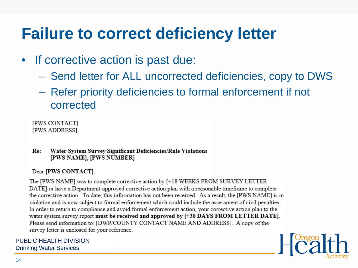## **Failure to correct deficiency letter**

- If corrective action is past due:
	- Send letter for ALL uncorrected deficiencies, copy to DWS
	- Refer priority deficiencies to formal enforcement if not corrected

[PWS CONTACT] [PWS ADDRESS]

Re: Water System Survey Significant Deficiencies/Rule Violations [PWS NAME], [PWS NUMBER]

#### Dear [PWS CONTACT]:

The [PWS NAME] was to complete corrective action by [+18 WEEKS FROM SURVEY LETTER DATE] or have a Department-approved corrective action plan with a reasonable timeframe to complete the corrective action. To date, this information has not been received. As a result, the [PWS NAME] is in violation and is now subject to formal enforcement which could include the assessment of civil penalties. In order to return to compliance and avoid formal enforcement action, your corrective action plan to the water system survey report must be received and approved by [+30 DAYS FROM LETTER DATE]. Please send information to: [DWP/COUNTY CONTACT NAME AND ADDRESS]. A copy of the survey letter is enclosed for your reference.

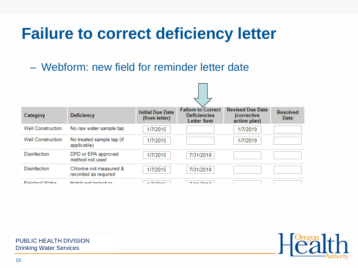## **Failure to correct deficiency letter**

– Webform: new field for reminder letter date



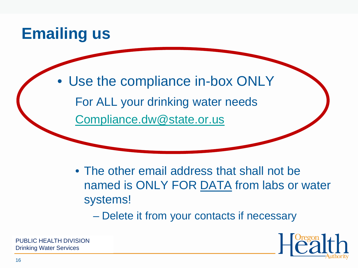### **Emailing us**

Use the compliance in-box ONLY For ALL your drinking water needs [Compliance.dw@state.or.us](mailto:Compliance.dw@state.or.us)

• The other email address that shall not be named is ONLY FOR DATA from labs or water systems!

– Delete it from your contacts if necessary